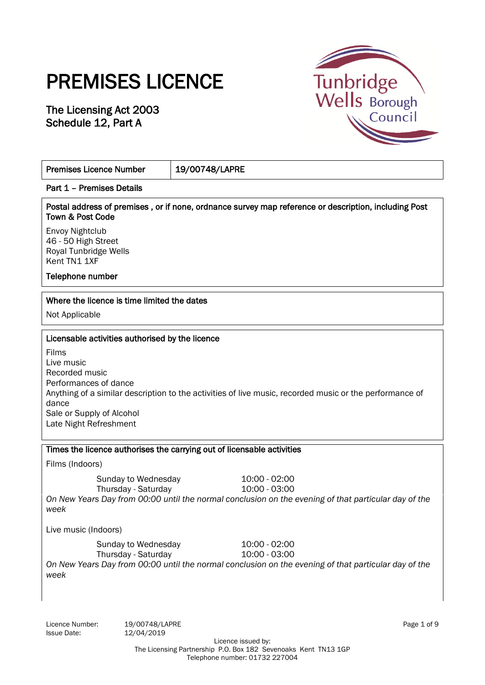# PREMISES LICENCE

The Licensing Act 2003 Schedule 12, Part A



| <b>Premises Licence Number</b>                                                                                                      | 19/00748/LAPRE                                                                                                                         |  |  |  |
|-------------------------------------------------------------------------------------------------------------------------------------|----------------------------------------------------------------------------------------------------------------------------------------|--|--|--|
| Part 1 - Premises Details                                                                                                           |                                                                                                                                        |  |  |  |
| Postal address of premises, or if none, ordnance survey map reference or description, including Post<br><b>Town &amp; Post Code</b> |                                                                                                                                        |  |  |  |
| <b>Envoy Nightclub</b><br>46 - 50 High Street<br>Royal Tunbridge Wells<br>Kent TN1 1XF<br>Telephone number                          |                                                                                                                                        |  |  |  |
|                                                                                                                                     |                                                                                                                                        |  |  |  |
| Where the licence is time limited the dates<br>Not Applicable                                                                       |                                                                                                                                        |  |  |  |
| Licensable activities authorised by the licence                                                                                     |                                                                                                                                        |  |  |  |
| Films<br>Live music<br>Recorded music<br>Performances of dance<br>dance<br>Sale or Supply of Alcohol<br>Late Night Refreshment      | Anything of a similar description to the activities of live music, recorded music or the performance of                                |  |  |  |
| Times the licence authorises the carrying out of licensable activities                                                              |                                                                                                                                        |  |  |  |
| Films (Indoors)<br>Sunday to Wednesday<br>Thursday - Saturday<br>week                                                               | 10:00 - 02:00<br>10:00 - 03:00<br>On New Years Day from 00:00 until the normal conclusion on the evening of that particular day of the |  |  |  |
| Live music (Indoors)                                                                                                                |                                                                                                                                        |  |  |  |
| Sunday to Wednesday<br>Thursday - Saturday<br>week                                                                                  | 10:00 - 02:00<br>10:00 - 03:00<br>On New Years Day from 00:00 until the normal conclusion on the evening of that particular day of the |  |  |  |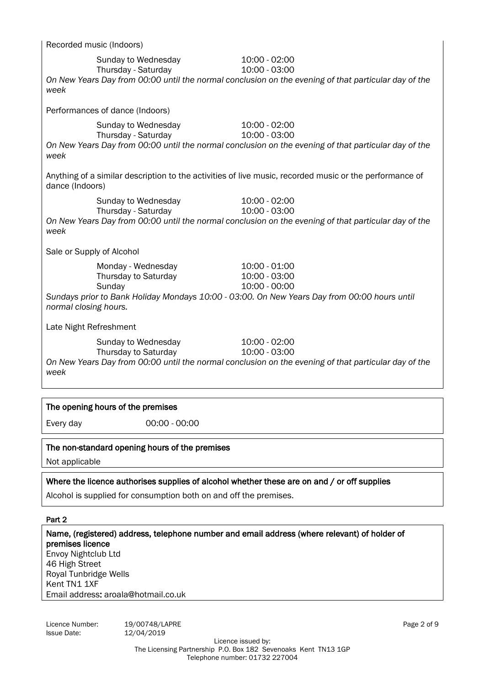| Recorded music (Indoors)                                                                                                   |                                                                                                      |  |  |  |
|----------------------------------------------------------------------------------------------------------------------------|------------------------------------------------------------------------------------------------------|--|--|--|
| Sunday to Wednesday                                                                                                        | 10:00 - 02:00                                                                                        |  |  |  |
| Thursday - Saturday                                                                                                        | 10:00 - 03:00                                                                                        |  |  |  |
| week                                                                                                                       | On New Years Day from 00:00 until the normal conclusion on the evening of that particular day of the |  |  |  |
| Performances of dance (Indoors)                                                                                            |                                                                                                      |  |  |  |
| Sunday to Wednesday                                                                                                        | 10:00 - 02:00                                                                                        |  |  |  |
| Thursday - Saturday                                                                                                        | 10:00 - 03:00                                                                                        |  |  |  |
| On New Years Day from 00:00 until the normal conclusion on the evening of that particular day of the<br>week               |                                                                                                      |  |  |  |
| Anything of a similar description to the activities of live music, recorded music or the performance of<br>dance (Indoors) |                                                                                                      |  |  |  |
| Sunday to Wednesday                                                                                                        | 10:00 - 02:00                                                                                        |  |  |  |
| Thursday - Saturday                                                                                                        | 10:00 - 03:00                                                                                        |  |  |  |
| week                                                                                                                       | On New Years Day from 00:00 until the normal conclusion on the evening of that particular day of the |  |  |  |
| Sale or Supply of Alcohol                                                                                                  |                                                                                                      |  |  |  |
| Monday - Wednesday                                                                                                         | 10:00 - 01:00                                                                                        |  |  |  |
| Thursday to Saturday                                                                                                       | 10:00 - 03:00                                                                                        |  |  |  |
| Sunday                                                                                                                     | 10:00 - 00:00                                                                                        |  |  |  |
| Sundays prior to Bank Holiday Mondays 10:00 - 03:00. On New Years Day from 00:00 hours until<br>normal closing hours.      |                                                                                                      |  |  |  |
| Late Night Refreshment                                                                                                     |                                                                                                      |  |  |  |
| Sunday to Wednesday                                                                                                        | 10:00 - 02:00                                                                                        |  |  |  |
| Thursday to Saturday                                                                                                       | 10:00 - 03:00                                                                                        |  |  |  |
| On New Years Day from 00:00 until the normal conclusion on the evening of that particular day of the<br>week               |                                                                                                      |  |  |  |
|                                                                                                                            |                                                                                                      |  |  |  |

## The opening hours of the premises

Every day 00:00 - 00:00

## The non-standard opening hours of the premises

Not applicable

## Where the licence authorises supplies of alcohol whether these are on and / or off supplies

Alcohol is supplied for consumption both on and off the premises.

#### Part 2

Name, (registered) address, telephone number and email address (where relevant) of holder of premises licence Envoy Nightclub Ltd 46 High Street Royal Tunbridge Wells Kent TN1 1XF Email address: aroala@hotmail.co.uk

Licence Number: 19/00748/LAPRE **Page 2 of 9**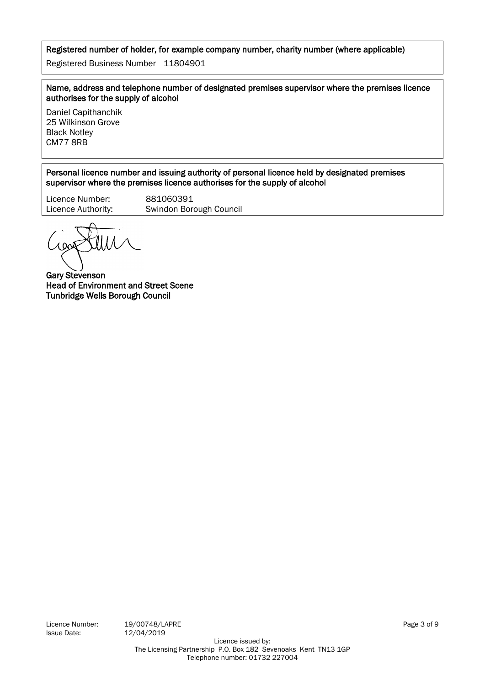### Registered number of holder, for example company number, charity number (where applicable)

Registered Business Number 11804901

#### Name, address and telephone number of designated premises supervisor where the premises licence authorises for the supply of alcohol

Daniel Capithanchik 25 Wilkinson Grove Black Notley CM77 8RB

֦  $\overline{a}$ 

Personal licence number and issuing authority of personal licence held by designated premises supervisor where the premises licence authorises for the supply of alcohol

Licence Number: 881060391

Licence Authority: Swindon Borough Council

Gary Stevenson Head of Environment and Street Scene Tunbridge Wells Borough Council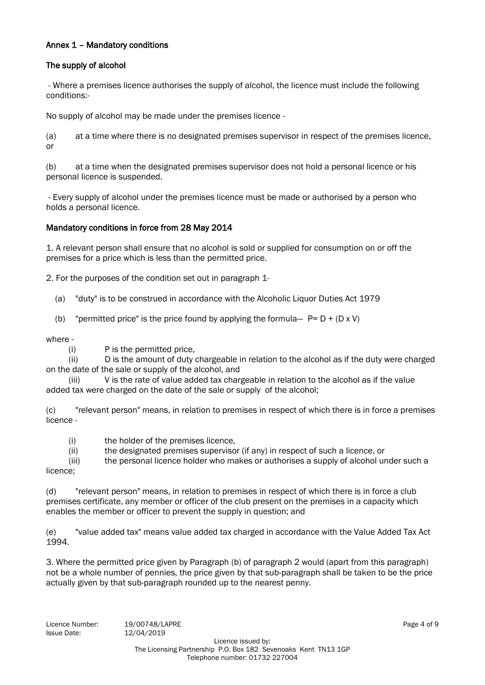## Annex 1 – Mandatory conditions

## The supply of alcohol

- Where a premises licence authorises the supply of alcohol, the licence must include the following conditions:-

No supply of alcohol may be made under the premises licence -

(a) at a time where there is no designated premises supervisor in respect of the premises licence, or

(b) at a time when the designated premises supervisor does not hold a personal licence or his personal licence is suspended.

- Every supply of alcohol under the premises licence must be made or authorised by a person who holds a personal licence.

### Mandatory conditions in force from 28 May 2014

1. A relevant person shall ensure that no alcohol is sold or supplied for consumption on or off the premises for a price which is less than the permitted price.

2. For the purposes of the condition set out in paragraph 1-

- (a) "duty" is to be construed in accordance with the Alcoholic Liquor Duties Act 1979
- (b) "permitted price" is the price found by applying the formula—  $P = D + (D \times V)$

where -

(i) P is the permitted price,

 (ii) D is the amount of duty chargeable in relation to the alcohol as if the duty were charged on the date of the sale or supply of the alcohol, and

 (iii) V is the rate of value added tax chargeable in relation to the alcohol as if the value added tax were charged on the date of the sale or supply of the alcohol;

(c) "relevant person" means, in relation to premises in respect of which there is in force a premises licence -

(i) the holder of the premises licence,

(ii) the designated premises supervisor (if any) in respect of such a licence, or

 (iii) the personal licence holder who makes or authorises a supply of alcohol under such a licence;

(d) "relevant person" means, in relation to premises in respect of which there is in force a club premises certificate, any member or officer of the club present on the premises in a capacity which enables the member or officer to prevent the supply in question; and

(e) "value added tax" means value added tax charged in accordance with the Value Added Tax Act 1994.

3. Where the permitted price given by Paragraph (b) of paragraph 2 would (apart from this paragraph) not be a whole number of pennies, the price given by that sub-paragraph shall be taken to be the price actually given by that sub-paragraph rounded up to the nearest penny.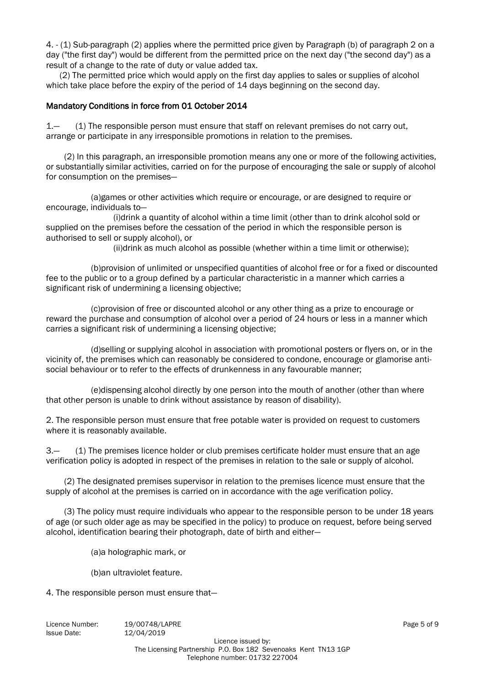4. - (1) Sub-paragraph (2) applies where the permitted price given by Paragraph (b) of paragraph 2 on a day ("the first day") would be different from the permitted price on the next day ("the second day") as a result of a change to the rate of duty or value added tax.

 (2) The permitted price which would apply on the first day applies to sales or supplies of alcohol which take place before the expiry of the period of 14 days beginning on the second day.

## Mandatory Conditions in force from 01 October 2014

1.— (1) The responsible person must ensure that staff on relevant premises do not carry out, arrange or participate in any irresponsible promotions in relation to the premises.

 (2) In this paragraph, an irresponsible promotion means any one or more of the following activities, or substantially similar activities, carried on for the purpose of encouraging the sale or supply of alcohol for consumption on the premises—

 (a)games or other activities which require or encourage, or are designed to require or encourage, individuals to—

 (i)drink a quantity of alcohol within a time limit (other than to drink alcohol sold or supplied on the premises before the cessation of the period in which the responsible person is authorised to sell or supply alcohol), or

(ii)drink as much alcohol as possible (whether within a time limit or otherwise);

 (b)provision of unlimited or unspecified quantities of alcohol free or for a fixed or discounted fee to the public or to a group defined by a particular characteristic in a manner which carries a significant risk of undermining a licensing objective;

 (c)provision of free or discounted alcohol or any other thing as a prize to encourage or reward the purchase and consumption of alcohol over a period of 24 hours or less in a manner which carries a significant risk of undermining a licensing objective;

 (d)selling or supplying alcohol in association with promotional posters or flyers on, or in the vicinity of, the premises which can reasonably be considered to condone, encourage or glamorise antisocial behaviour or to refer to the effects of drunkenness in any favourable manner;

 (e)dispensing alcohol directly by one person into the mouth of another (other than where that other person is unable to drink without assistance by reason of disability).

2. The responsible person must ensure that free potable water is provided on request to customers where it is reasonably available.

3.— (1) The premises licence holder or club premises certificate holder must ensure that an age verification policy is adopted in respect of the premises in relation to the sale or supply of alcohol.

 (2) The designated premises supervisor in relation to the premises licence must ensure that the supply of alcohol at the premises is carried on in accordance with the age verification policy.

 (3) The policy must require individuals who appear to the responsible person to be under 18 years of age (or such older age as may be specified in the policy) to produce on request, before being served alcohol, identification bearing their photograph, date of birth and either—

(a)a holographic mark, or

(b)an ultraviolet feature.

4. The responsible person must ensure that—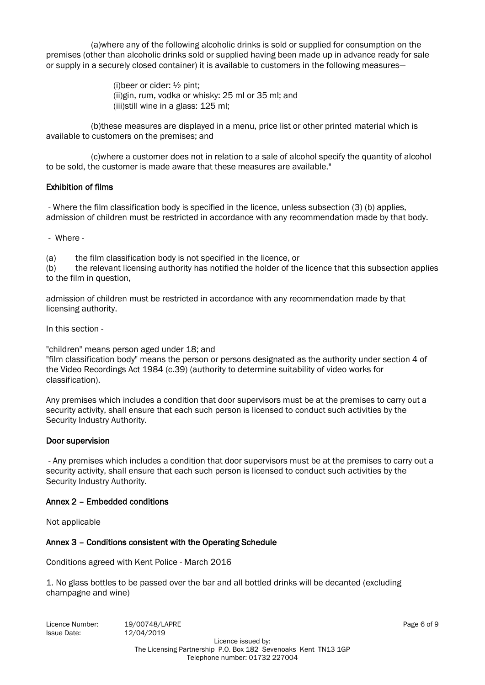(a)where any of the following alcoholic drinks is sold or supplied for consumption on the premises (other than alcoholic drinks sold or supplied having been made up in advance ready for sale or supply in a securely closed container) it is available to customers in the following measures—

> (i)beer or cider: ½ pint; (ii)gin, rum, vodka or whisky: 25 ml or 35 ml; and (iii)still wine in a glass: 125 ml;

 (b)these measures are displayed in a menu, price list or other printed material which is available to customers on the premises; and

 (c)where a customer does not in relation to a sale of alcohol specify the quantity of alcohol to be sold, the customer is made aware that these measures are available."

### Exhibition of films

- Where the film classification body is specified in the licence, unless subsection (3) (b) applies, admission of children must be restricted in accordance with any recommendation made by that body.

- Where -

(a) the film classification body is not specified in the licence, or

(b) the relevant licensing authority has notified the holder of the licence that this subsection applies to the film in question,

admission of children must be restricted in accordance with any recommendation made by that licensing authority.

In this section -

"children" means person aged under 18; and

"film classification body" means the person or persons designated as the authority under section 4 of the Video Recordings Act 1984 (c.39) (authority to determine suitability of video works for classification).

Any premises which includes a condition that door supervisors must be at the premises to carry out a security activity, shall ensure that each such person is licensed to conduct such activities by the Security Industry Authority.

## Door supervision

- Any premises which includes a condition that door supervisors must be at the premises to carry out a security activity, shall ensure that each such person is licensed to conduct such activities by the Security Industry Authority.

## Annex 2 – Embedded conditions

Not applicable

## Annex 3 – Conditions consistent with the Operating Schedule

Conditions agreed with Kent Police - March 2016

1. No glass bottles to be passed over the bar and all bottled drinks will be decanted (excluding champagne and wine)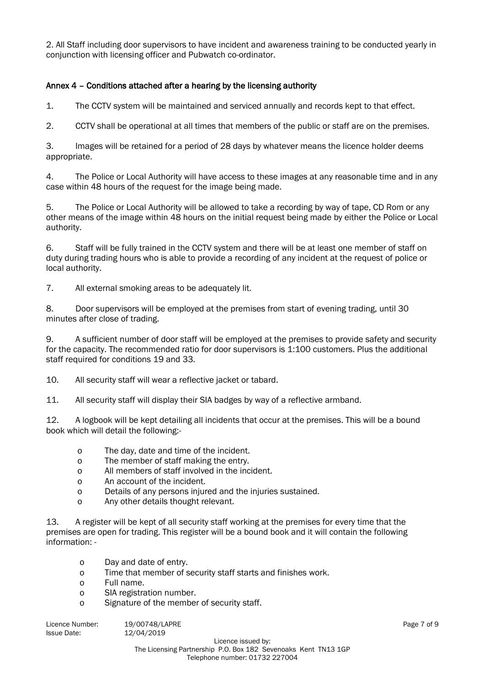2. All Staff including door supervisors to have incident and awareness training to be conducted yearly in conjunction with licensing officer and Pubwatch co-ordinator.

## Annex 4 – Conditions attached after a hearing by the licensing authority

1. The CCTV system will be maintained and serviced annually and records kept to that effect.

2. CCTV shall be operational at all times that members of the public or staff are on the premises.

3. Images will be retained for a period of 28 days by whatever means the licence holder deems appropriate.

4. The Police or Local Authority will have access to these images at any reasonable time and in any case within 48 hours of the request for the image being made.

5. The Police or Local Authority will be allowed to take a recording by way of tape, CD Rom or any other means of the image within 48 hours on the initial request being made by either the Police or Local authority.

6. Staff will be fully trained in the CCTV system and there will be at least one member of staff on duty during trading hours who is able to provide a recording of any incident at the request of police or local authority.

7. All external smoking areas to be adequately lit.

8. Door supervisors will be employed at the premises from start of evening trading, until 30 minutes after close of trading.

9. A sufficient number of door staff will be employed at the premises to provide safety and security for the capacity. The recommended ratio for door supervisors is 1:100 customers. Plus the additional staff required for conditions 19 and 33.

10. All security staff will wear a reflective jacket or tabard.

11. All security staff will display their SIA badges by way of a reflective armband.

12. A logbook will be kept detailing all incidents that occur at the premises. This will be a bound book which will detail the following:-

- o The day, date and time of the incident.
- o The member of staff making the entry.
- o All members of staff involved in the incident.
- o An account of the incident.
- o Details of any persons injured and the injuries sustained.
- o Any other details thought relevant.

13. A register will be kept of all security staff working at the premises for every time that the premises are open for trading. This register will be a bound book and it will contain the following information: -

- o Day and date of entry.
- o Time that member of security staff starts and finishes work.
- o Full name.
- o SIA registration number.
- o Signature of the member of security staff.

| Licence Number: | 19/00748/LAPRE |                     | Page 7 of 9 |
|-----------------|----------------|---------------------|-------------|
| Issue Date:     | 12/04/2019     |                     |             |
|                 |                | l icence issued by: |             |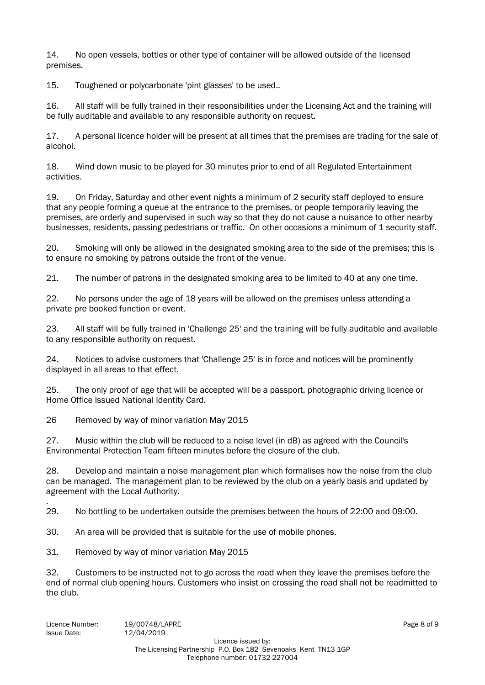14. No open vessels, bottles or other type of container will be allowed outside of the licensed premises.

15. Toughened or polycarbonate 'pint glasses' to be used..

16. All staff will be fully trained in their responsibilities under the Licensing Act and the training will be fully auditable and available to any responsible authority on request.

17. A personal licence holder will be present at all times that the premises are trading for the sale of alcohol.

18. Wind down music to be played for 30 minutes prior to end of all Regulated Entertainment activities.

19. On Friday, Saturday and other event nights a minimum of 2 security staff deployed to ensure that any people forming a queue at the entrance to the premises, or people temporarily leaving the premises, are orderly and supervised in such way so that they do not cause a nuisance to other nearby businesses, residents, passing pedestrians or traffic. On other occasions a minimum of 1 security staff.

20. Smoking will only be allowed in the designated smoking area to the side of the premises; this is to ensure no smoking by patrons outside the front of the venue.

21. The number of patrons in the designated smoking area to be limited to 40 at any one time.

22. No persons under the age of 18 years will be allowed on the premises unless attending a private pre booked function or event.

23. All staff will be fully trained in 'Challenge 25' and the training will be fully auditable and available to any responsible authority on request.

24. Notices to advise customers that 'Challenge 25' is in force and notices will be prominently displayed in all areas to that effect.

25. The only proof of age that will be accepted will be a passport, photographic driving licence or Home Office Issued National Identity Card.

26 Removed by way of minor variation May 2015

27. Music within the club will be reduced to a noise level (in dB) as agreed with the Council's Environmental Protection Team fifteen minutes before the closure of the club.

28. Develop and maintain a noise management plan which formalises how the noise from the club can be managed. The management plan to be reviewed by the club on a yearly basis and updated by agreement with the Local Authority.

. 29. No bottling to be undertaken outside the premises between the hours of 22:00 and 09:00.

30. An area will be provided that is suitable for the use of mobile phones.

31. Removed by way of minor variation May 2015

32. Customers to be instructed not to go across the road when they leave the premises before the end of normal club opening hours. Customers who insist on crossing the road shall not be readmitted to the club.